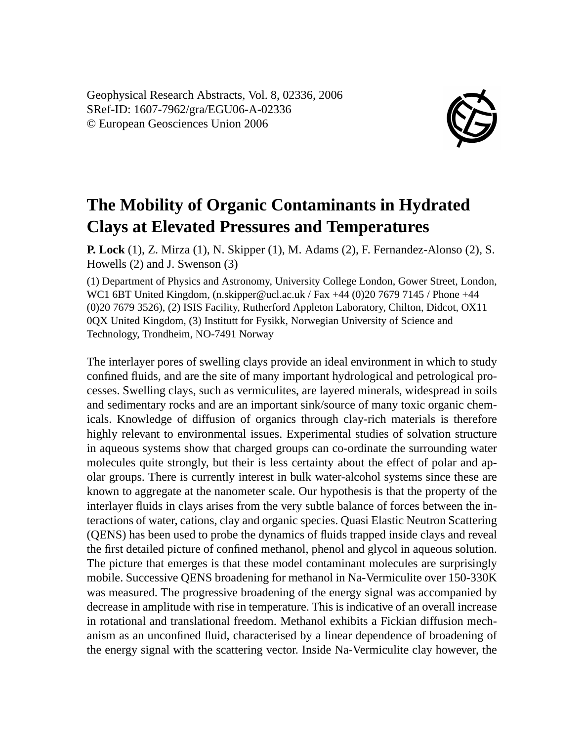Geophysical Research Abstracts, Vol. 8, 02336, 2006 SRef-ID: 1607-7962/gra/EGU06-A-02336 © European Geosciences Union 2006



## **The Mobility of Organic Contaminants in Hydrated Clays at Elevated Pressures and Temperatures**

**P. Lock** (1), Z. Mirza (1), N. Skipper (1), M. Adams (2), F. Fernandez-Alonso (2), S. Howells (2) and J. Swenson (3)

(1) Department of Physics and Astronomy, University College London, Gower Street, London, WC1 6BT United Kingdom, (n.skipper@ucl.ac.uk / Fax +44 (0) 20 7679 7145 / Phone +44 (0)20 7679 3526), (2) ISIS Facility, Rutherford Appleton Laboratory, Chilton, Didcot, OX11 0QX United Kingdom, (3) Institutt for Fysikk, Norwegian University of Science and Technology, Trondheim, NO-7491 Norway

The interlayer pores of swelling clays provide an ideal environment in which to study confined fluids, and are the site of many important hydrological and petrological processes. Swelling clays, such as vermiculites, are layered minerals, widespread in soils and sedimentary rocks and are an important sink/source of many toxic organic chemicals. Knowledge of diffusion of organics through clay-rich materials is therefore highly relevant to environmental issues. Experimental studies of solvation structure in aqueous systems show that charged groups can co-ordinate the surrounding water molecules quite strongly, but their is less certainty about the effect of polar and apolar groups. There is currently interest in bulk water-alcohol systems since these are known to aggregate at the nanometer scale. Our hypothesis is that the property of the interlayer fluids in clays arises from the very subtle balance of forces between the interactions of water, cations, clay and organic species. Quasi Elastic Neutron Scattering (QENS) has been used to probe the dynamics of fluids trapped inside clays and reveal the first detailed picture of confined methanol, phenol and glycol in aqueous solution. The picture that emerges is that these model contaminant molecules are surprisingly mobile. Successive QENS broadening for methanol in Na-Vermiculite over 150-330K was measured. The progressive broadening of the energy signal was accompanied by decrease in amplitude with rise in temperature. This is indicative of an overall increase in rotational and translational freedom. Methanol exhibits a Fickian diffusion mechanism as an unconfined fluid, characterised by a linear dependence of broadening of the energy signal with the scattering vector. Inside Na-Vermiculite clay however, the